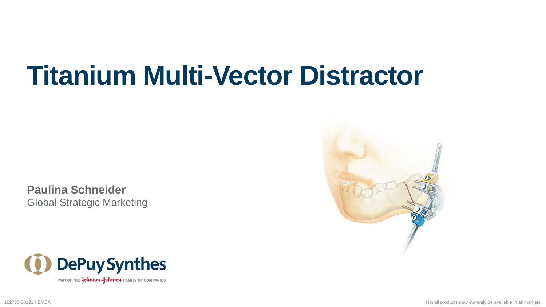**Paulina Schneider** Global Strategic Marketing



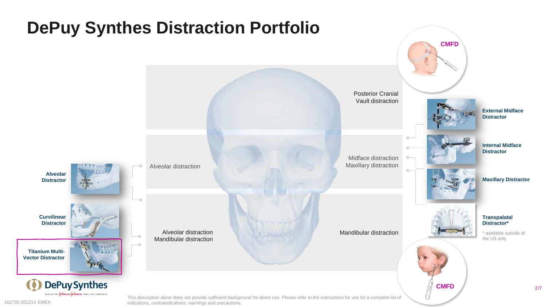

indications, contraindications, warnings and precautions.

2 /7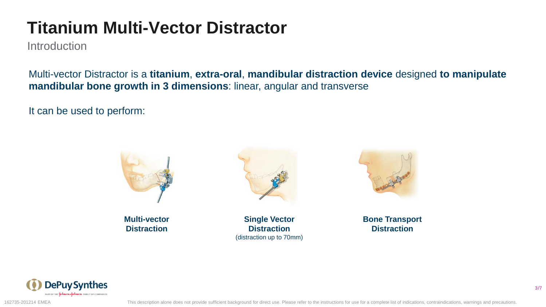**Introduction** 

Multi-vector Distractor is a **titanium**, **extra-oral**, **mandibular distraction device** designed **to manipulate mandibular bone growth in 3 dimensions**: linear, angular and transverse

It can be used to perform:



**Multi-vector Distraction**



**Single Vector Distraction** (distraction up to 70mm)



**Bone Transport Distraction**



162735-201214 EMEA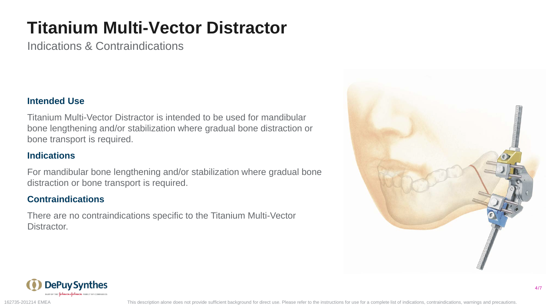Indications & Contraindications

#### **Intended Use**

Titanium Multi-Vector Distractor is intended to be used for mandibular bone lengthening and/or stabilization where gradual bone distraction or bone transport is required.

#### **Indications**

For mandibular bone lengthening and/or stabilization where gradual bone distraction or bone transport is required.

#### **Contraindications**

There are no contraindications specific to the Titanium Multi-Vector Distractor.



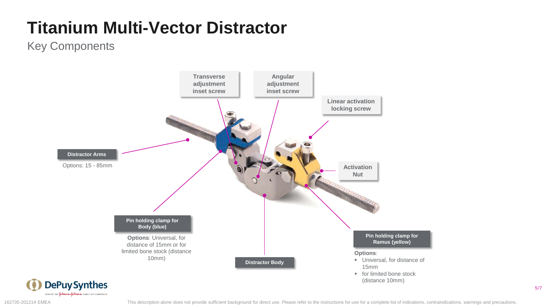### Key Components



5 /7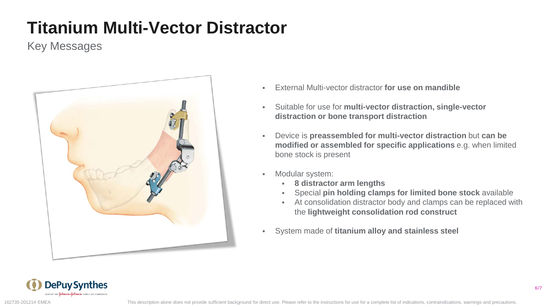### Key Messages



- External Multi-vector distractor **for use on mandible**
- Suitable for use for **multi-vector distraction, single-vector distraction or bone transport distraction**
- Device is **preassembled for multi-vector distraction** but **can be modified or assembled for specific applications** e.g. when limited bone stock is present
- Modular system:
	- **8 distractor arm lengths**
	- Special **pin holding clamps for limited bone stock** available
	- At consolidation distractor body and clamps can be replaced with the **lightweight consolidation rod construct**
- System made of **titanium alloy and stainless steel**